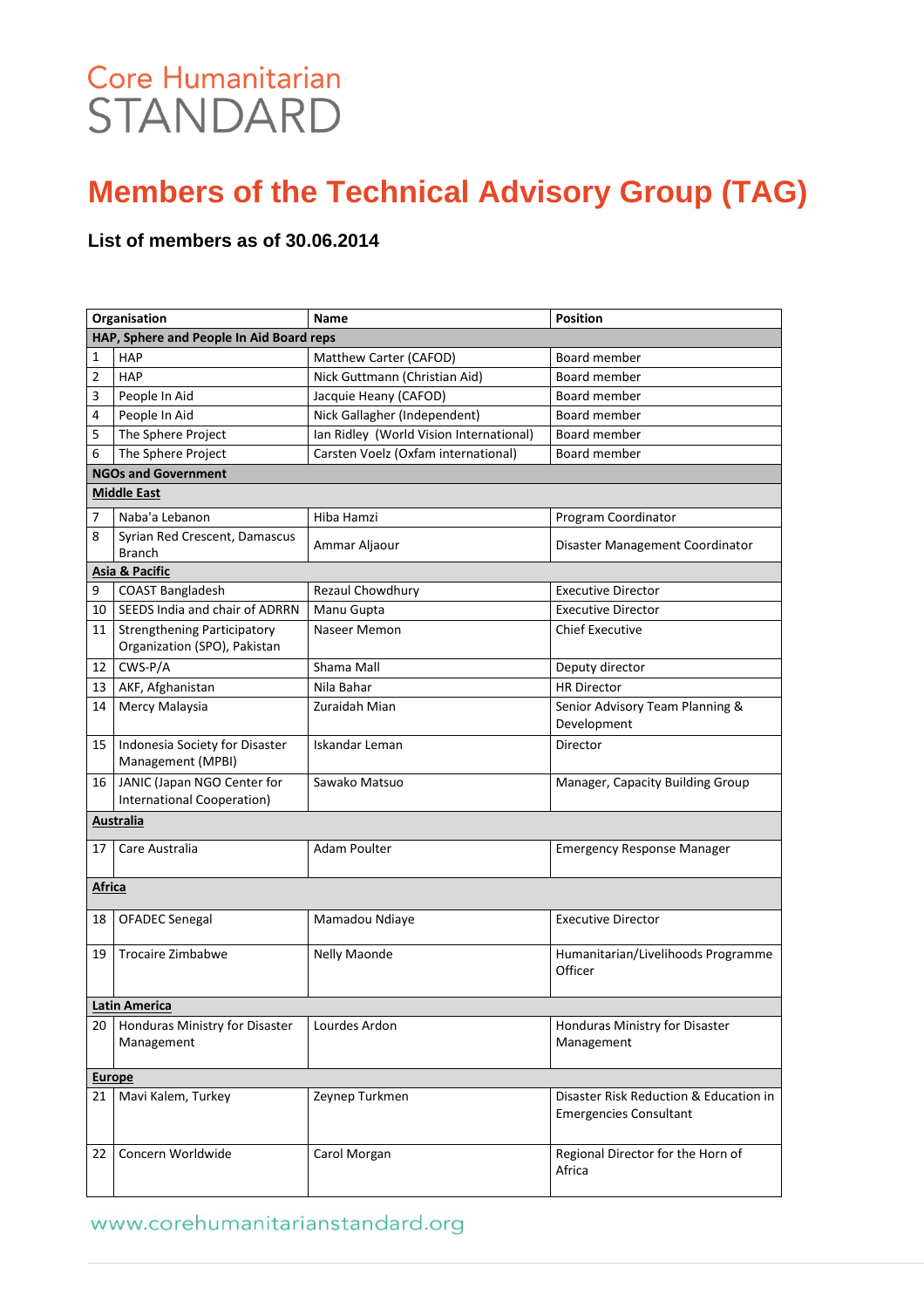## Core Humanitarian **STANDARD**

## **Members of the Technical Advisory Group (TAG)**

#### **List of members as of 30.06.2014**

| Organisation                             |                                                                    | Name                                    | <b>Position</b>                                                         |  |  |  |  |  |
|------------------------------------------|--------------------------------------------------------------------|-----------------------------------------|-------------------------------------------------------------------------|--|--|--|--|--|
| HAP, Sphere and People In Aid Board reps |                                                                    |                                         |                                                                         |  |  |  |  |  |
| 1                                        | <b>HAP</b>                                                         | Matthew Carter (CAFOD)                  | Board member                                                            |  |  |  |  |  |
| 2                                        | <b>HAP</b>                                                         | Nick Guttmann (Christian Aid)           | Board member                                                            |  |  |  |  |  |
| 3                                        | People In Aid                                                      | Jacquie Heany (CAFOD)                   | Board member                                                            |  |  |  |  |  |
| 4                                        | People In Aid                                                      | Nick Gallagher (Independent)            | Board member                                                            |  |  |  |  |  |
| 5                                        | The Sphere Project                                                 | Ian Ridley (World Vision International) | Board member                                                            |  |  |  |  |  |
| 6                                        | The Sphere Project                                                 | Carsten Voelz (Oxfam international)     | Board member                                                            |  |  |  |  |  |
|                                          | <b>NGOs and Government</b>                                         |                                         |                                                                         |  |  |  |  |  |
|                                          | <b>Middle East</b>                                                 |                                         |                                                                         |  |  |  |  |  |
| 7                                        | Naba'a Lebanon                                                     | Hiba Hamzi                              | Program Coordinator                                                     |  |  |  |  |  |
| 8                                        | Syrian Red Crescent, Damascus<br><b>Branch</b>                     | Ammar Aljaour                           | Disaster Management Coordinator                                         |  |  |  |  |  |
|                                          | Asia & Pacific                                                     |                                         |                                                                         |  |  |  |  |  |
| 9                                        | <b>COAST Bangladesh</b>                                            | Rezaul Chowdhury                        | <b>Executive Director</b>                                               |  |  |  |  |  |
| 10                                       | SEEDS India and chair of ADRRN                                     | Manu Gupta                              | <b>Executive Director</b>                                               |  |  |  |  |  |
| 11                                       | <b>Strengthening Participatory</b><br>Organization (SPO), Pakistan | Naseer Memon                            | <b>Chief Executive</b>                                                  |  |  |  |  |  |
| 12                                       | CWS-P/A                                                            | Shama Mall                              | Deputy director                                                         |  |  |  |  |  |
| 13                                       | AKF, Afghanistan                                                   | Nila Bahar                              | <b>HR Director</b>                                                      |  |  |  |  |  |
| 14                                       | Mercy Malaysia                                                     | Zuraidah Mian                           | Senior Advisory Team Planning &<br>Development                          |  |  |  |  |  |
| 15                                       | Indonesia Society for Disaster<br>Management (MPBI)                | Iskandar Leman                          | Director                                                                |  |  |  |  |  |
| 16                                       | JANIC (Japan NGO Center for<br>International Cooperation)          | Sawako Matsuo                           | Manager, Capacity Building Group                                        |  |  |  |  |  |
|                                          | <b>Australia</b>                                                   |                                         |                                                                         |  |  |  |  |  |
| 17                                       | Care Australia                                                     | <b>Adam Poulter</b>                     | <b>Emergency Response Manager</b>                                       |  |  |  |  |  |
| Africa                                   |                                                                    |                                         |                                                                         |  |  |  |  |  |
| 18                                       | <b>OFADEC Senegal</b>                                              | Mamadou Ndiaye                          | <b>Executive Director</b>                                               |  |  |  |  |  |
| 19                                       | <b>Trocaire Zimbabwe</b>                                           | Nelly Maonde                            | Humanitarian/Livelihoods Programme<br>Officer                           |  |  |  |  |  |
| Latin America                            |                                                                    |                                         |                                                                         |  |  |  |  |  |
| 20 I                                     | Honduras Ministry for Disaster<br>Management                       | Lourdes Ardon                           | Honduras Ministry for Disaster<br>Management                            |  |  |  |  |  |
| <b>Europe</b>                            |                                                                    |                                         |                                                                         |  |  |  |  |  |
| 21                                       | Mavi Kalem, Turkey                                                 | Zeynep Turkmen                          | Disaster Risk Reduction & Education in<br><b>Emergencies Consultant</b> |  |  |  |  |  |
| 22                                       | Concern Worldwide                                                  | Carol Morgan                            | Regional Director for the Horn of<br>Africa                             |  |  |  |  |  |

#### www.corehumanitarianstandard.org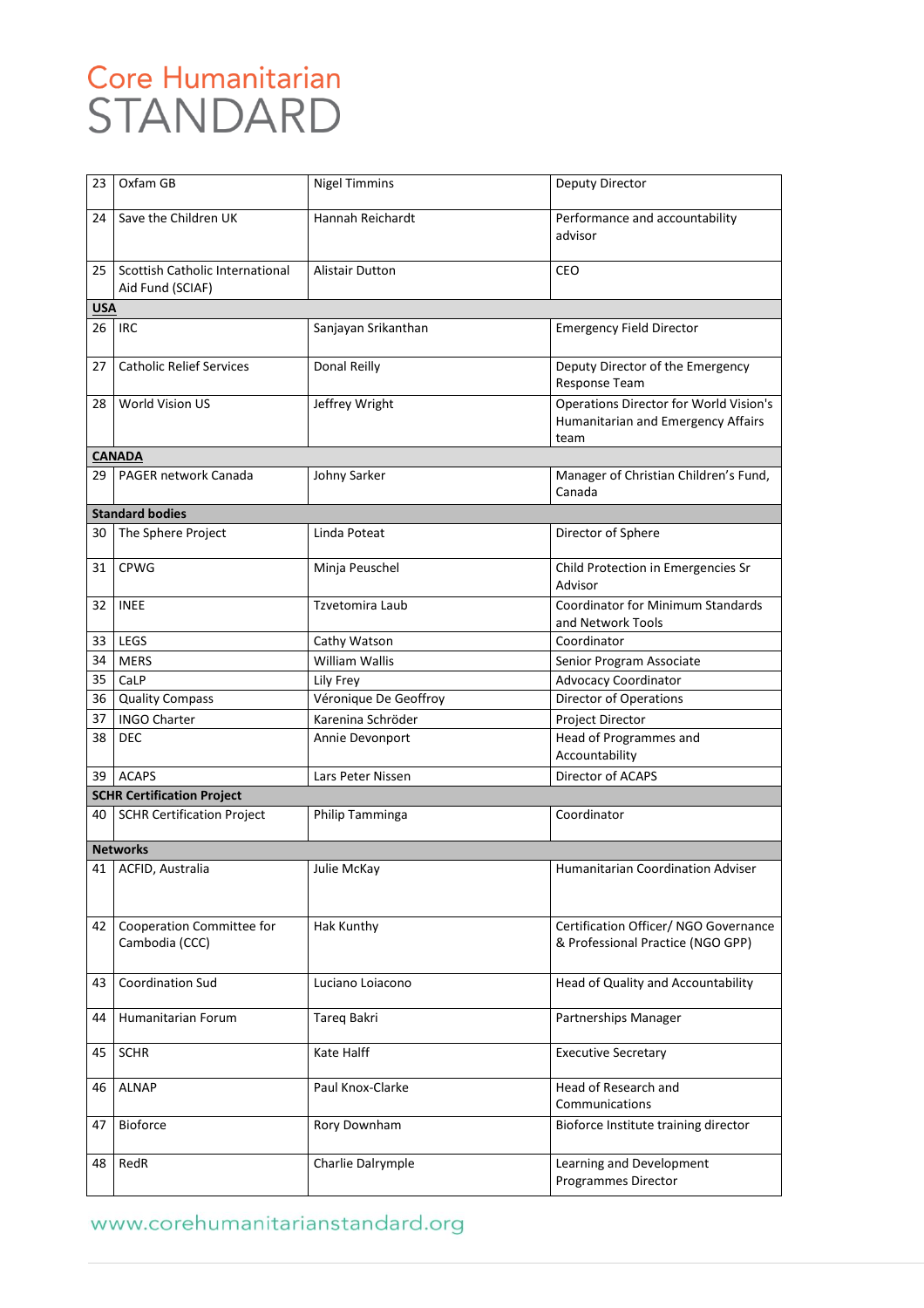## Core Humanitarian STANDARD

| 23         | Oxfam GB                                            | <b>Nigel Timmins</b>   | Deputy Director                                                                             |
|------------|-----------------------------------------------------|------------------------|---------------------------------------------------------------------------------------------|
| 24         | Save the Children UK                                | Hannah Reichardt       | Performance and accountability<br>advisor                                                   |
| 25         | Scottish Catholic International<br>Aid Fund (SCIAF) | <b>Alistair Dutton</b> | CEO                                                                                         |
| <b>USA</b> |                                                     |                        |                                                                                             |
| 26         | <b>IRC</b>                                          | Sanjayan Srikanthan    | <b>Emergency Field Director</b>                                                             |
| 27         | <b>Catholic Relief Services</b>                     | Donal Reilly           | Deputy Director of the Emergency<br>Response Team                                           |
| 28         | <b>World Vision US</b>                              | Jeffrey Wright         | <b>Operations Director for World Vision's</b><br>Humanitarian and Emergency Affairs<br>team |
|            | <b>CANADA</b>                                       |                        |                                                                                             |
| 29.        | PAGER network Canada                                | Johny Sarker           | Manager of Christian Children's Fund,<br>Canada                                             |
|            | <b>Standard bodies</b>                              |                        |                                                                                             |
| 30         | The Sphere Project                                  | Linda Poteat           | Director of Sphere                                                                          |
| 31         | <b>CPWG</b>                                         | Minja Peuschel         | Child Protection in Emergencies Sr<br>Advisor                                               |
| 32         | <b>INEE</b>                                         | Tzvetomira Laub        | <b>Coordinator for Minimum Standards</b><br>and Network Tools                               |
| 33         | <b>LEGS</b>                                         | Cathy Watson           | Coordinator                                                                                 |
| 34         | <b>MERS</b>                                         | <b>William Wallis</b>  | Senior Program Associate                                                                    |
| 35         | CaLP                                                | Lily Frey              | <b>Advocacy Coordinator</b>                                                                 |
| 36         | <b>Quality Compass</b>                              | Véronique De Geoffroy  | Director of Operations                                                                      |
| 37         | <b>INGO Charter</b>                                 | Karenina Schröder      | Project Director                                                                            |
| 38         | DEC                                                 | Annie Devonport        | Head of Programmes and<br>Accountability                                                    |
| 39         | <b>ACAPS</b>                                        | Lars Peter Nissen      | Director of ACAPS                                                                           |
|            | <b>SCHR Certification Project</b>                   |                        |                                                                                             |
| 40         | <b>SCHR Certification Project</b>                   | Philip Tamminga        | Coordinator                                                                                 |
|            | Networks                                            |                        |                                                                                             |
|            | 41   ACFID, Australia                               | Julie McKay            | Humanitarian Coordination Adviser                                                           |
| 42         | Cooperation Committee for<br>Cambodia (CCC)         | Hak Kunthy             | Certification Officer/ NGO Governance<br>& Professional Practice (NGO GPP)                  |
| 43         | <b>Coordination Sud</b>                             | Luciano Loiacono       | Head of Quality and Accountability                                                          |
| 44         | Humanitarian Forum                                  | Tareq Bakri            | Partnerships Manager                                                                        |
| 45         | <b>SCHR</b>                                         | Kate Halff             | <b>Executive Secretary</b>                                                                  |
| 46         | ALNAP                                               | Paul Knox-Clarke       | Head of Research and<br>Communications                                                      |
| 47         | Bioforce                                            | Rory Downham           | Bioforce Institute training director                                                        |
| 48         | RedR                                                | Charlie Dalrymple      | Learning and Development<br>Programmes Director                                             |

### www.corehumanitarianstandard.org